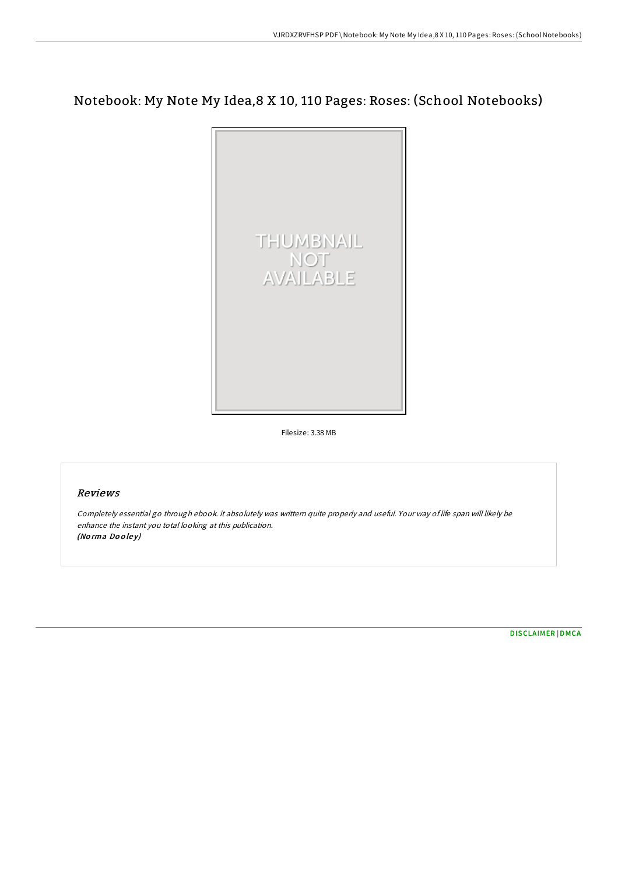## Notebook: My Note My Idea,8 X 10, 110 Pages: Roses: (School Notebooks)



Filesize: 3.38 MB

## Reviews

Completely essential go through ebook. it absolutely was writtern quite properly and useful. Your way of life span will likely be enhance the instant you total looking at this publication. (Norma Dooley)

[DISCLAIMER](http://almighty24.tech/disclaimer.html) | [DMCA](http://almighty24.tech/dmca.html)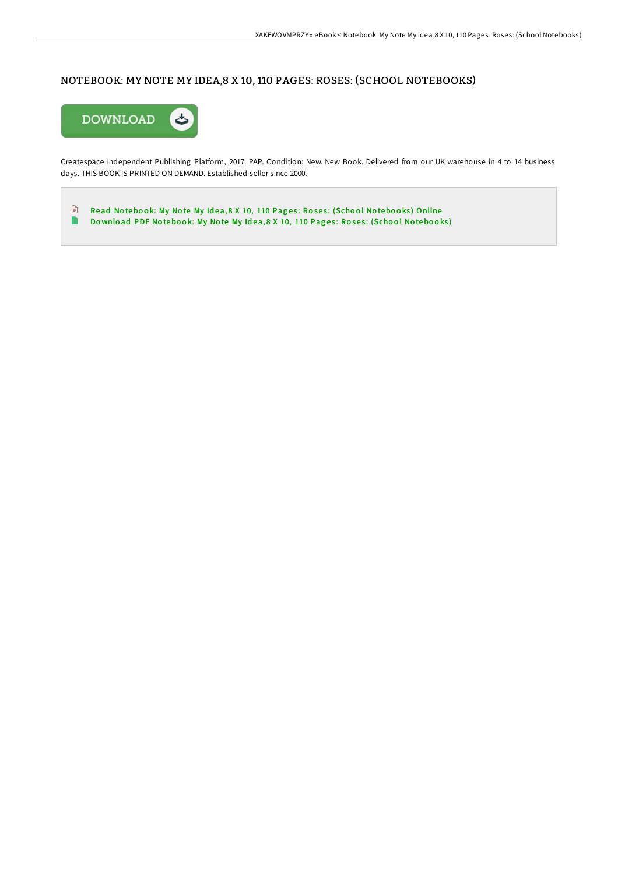## NOTEBOOK: MY NOTE MY IDEA,8 X 10, 110 PAGES: ROSES: (SCHOOL NOTEBOOKS)



Createspace Independent Publishing Platform, 2017. PAP. Condition: New. New Book. Delivered from our UK warehouse in 4 to 14 business days. THIS BOOK IS PRINTED ON DEMAND. Established seller since 2000.

 $\Box$  Read Notebook: My Note My Idea, 8 X 10, 110 Pages: Roses: (School Notebooks) [Online](http://almighty24.tech/notebook-my-note-my-idea-8-x-10-110-pages-roses-.html)  $\blacksquare$ Download PDF Notebook: My Note My Idea, 8 X 10, 110 Pages: Roses: [\(Scho](http://almighty24.tech/notebook-my-note-my-idea-8-x-10-110-pages-roses-.html)ol Notebooks)